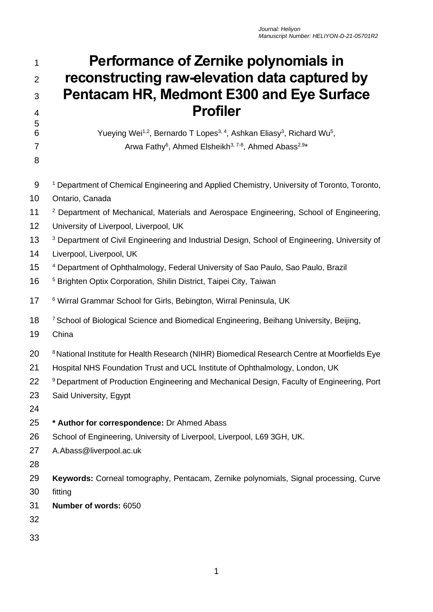| 1              | Performance of Zernike polynomials in                                                                                 |
|----------------|-----------------------------------------------------------------------------------------------------------------------|
| $\overline{2}$ | reconstructing raw-elevation data captured by                                                                         |
| 3              | <b>Pentacam HR, Medmont E300 and Eye Surface</b>                                                                      |
| 4              | <b>Profiler</b>                                                                                                       |
| 5<br>6         | Yueying Wei <sup>1,2</sup> , Bernardo T Lopes <sup>3,4</sup> , Ashkan Eliasy <sup>3</sup> , Richard Wu <sup>5</sup> , |
| $\overline{7}$ | Arwa Fathy <sup>6</sup> , Ahmed Elsheikh <sup>3, 7-8</sup> , Ahmed Abass <sup>2,9*</sup>                              |
| 8              |                                                                                                                       |
|                |                                                                                                                       |
| 9              | <sup>1</sup> Department of Chemical Engineering and Applied Chemistry, University of Toronto, Toronto,                |
| 10             | Ontario, Canada                                                                                                       |
| 11             | <sup>2</sup> Department of Mechanical, Materials and Aerospace Engineering, School of Engineering,                    |
| 12             | University of Liverpool, Liverpool, UK                                                                                |
| 13             | <sup>3</sup> Department of Civil Engineering and Industrial Design, School of Engineering, University of              |
| 14             | Liverpool, Liverpool, UK                                                                                              |
| 15             | <sup>4</sup> Department of Ophthalmology, Federal University of Sao Paulo, Sao Paulo, Brazil                          |
| 16             | <sup>5</sup> Brighten Optix Corporation, Shilin District, Taipei City, Taiwan                                         |
| 17             | <sup>6</sup> Wirral Grammar School for Girls, Bebington, Wirral Peninsula, UK                                         |
| 18             | <sup>7</sup> School of Biological Science and Biomedical Engineering, Beihang University, Beijing,                    |
| 19             | China                                                                                                                 |
| 20             | <sup>8</sup> National Institute for Health Research (NIHR) Biomedical Research Centre at Moorfields Eye               |
| 21             | Hospital NHS Foundation Trust and UCL Institute of Ophthalmology, London, UK                                          |
| 22             | <sup>9</sup> Department of Production Engineering and Mechanical Design, Faculty of Engineering, Port                 |
| 23             | Said University, Egypt                                                                                                |
| 24             |                                                                                                                       |
| 25             | * Author for correspondence: Dr Ahmed Abass                                                                           |
| 26             | School of Engineering, University of Liverpool, Liverpool, L69 3GH, UK.                                               |
| 27             | A.Abass@liverpool.ac.uk                                                                                               |
| 28             |                                                                                                                       |
| 29             | Keywords: Corneal tomography, Pentacam, Zernike polynomials, Signal processing, Curve                                 |
| 30             | fitting                                                                                                               |
| 31             | Number of words: 6050                                                                                                 |
| 32             |                                                                                                                       |
| 33             |                                                                                                                       |
|                |                                                                                                                       |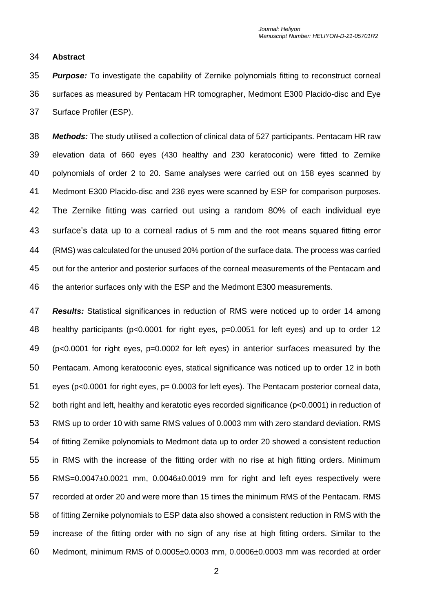## **Abstract**

 *Purpose:* To investigate the capability of Zernike polynomials fitting to reconstruct corneal surfaces as measured by Pentacam HR tomographer, Medmont E300 Placido-disc and Eye Surface Profiler (ESP).

 *Methods:* The study utilised a collection of clinical data of 527 participants. Pentacam HR raw elevation data of 660 eyes (430 healthy and 230 keratoconic) were fitted to Zernike polynomials of order 2 to 20. Same analyses were carried out on 158 eyes scanned by Medmont E300 Placido-disc and 236 eyes were scanned by ESP for comparison purposes. The Zernike fitting was carried out using a random 80% of each individual eye surface's data up to a corneal radius of 5 mm and the root means squared fitting error (RMS) was calculated for the unused 20% portion of the surface data. The process was carried out for the anterior and posterior surfaces of the corneal measurements of the Pentacam and the anterior surfaces only with the ESP and the Medmont E300 measurements.

 *Results:* Statistical significances in reduction of RMS were noticed up to order 14 among healthy participants (p<0.0001 for right eyes, p=0.0051 for left eyes) and up to order 12 (p<0.0001 for right eyes, p=0.0002 for left eyes) in anterior surfaces measured by the Pentacam. Among keratoconic eyes, statical significance was noticed up to order 12 in both eyes (p<0.0001 for right eyes, p= 0.0003 for left eyes). The Pentacam posterior corneal data, both right and left, healthy and keratotic eyes recorded significance (p<0.0001) in reduction of RMS up to order 10 with same RMS values of 0.0003 mm with zero standard deviation. RMS of fitting Zernike polynomials to Medmont data up to order 20 showed a consistent reduction in RMS with the increase of the fitting order with no rise at high fitting orders. Minimum RMS=0.0047±0.0021 mm, 0.0046±0.0019 mm for right and left eyes respectively were recorded at order 20 and were more than 15 times the minimum RMS of the Pentacam. RMS of fitting Zernike polynomials to ESP data also showed a consistent reduction in RMS with the increase of the fitting order with no sign of any rise at high fitting orders. Similar to the Medmont, minimum RMS of 0.0005±0.0003 mm, 0.0006±0.0003 mm was recorded at order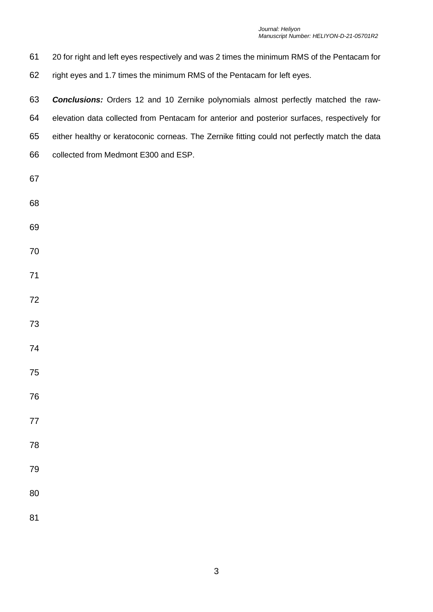- 20 for right and left eyes respectively and was 2 times the minimum RMS of the Pentacam for
- right eyes and 1.7 times the minimum RMS of the Pentacam for left eyes.

 *Conclusions:* Orders 12 and 10 Zernike polynomials almost perfectly matched the raw- elevation data collected from Pentacam for anterior and posterior surfaces, respectively for either healthy or keratoconic corneas. The Zernike fitting could not perfectly match the data collected from Medmont E300 and ESP.

- 
- 
- 
- 
- 
- 
- 
- 
- 
- 
- 
- 
- 
- 
- 
- 
- 
- 
-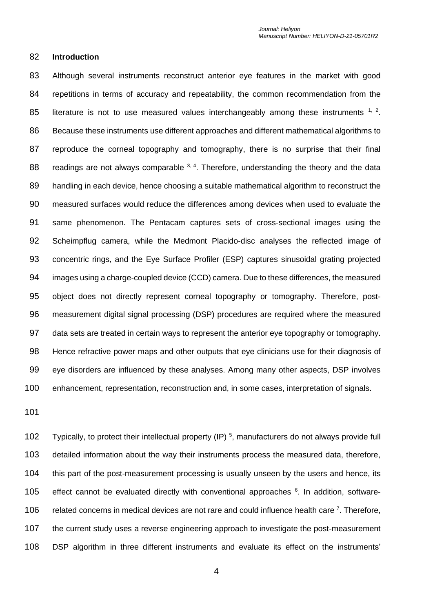### **Introduction**

 Although several instruments reconstruct anterior eye features in the market with good repetitions in terms of accuracy and repeatability, the common recommendation from the 85 literature is not to use measured values interchangeably among these instruments  $1, 2$ . 86 Because these instruments use different approaches and different mathematical algorithms to reproduce the corneal topography and tomography, there is no surprise that their final 88 readings are not always comparable  $3, 4$ . Therefore, understanding the theory and the data 89 handling in each device, hence choosing a suitable mathematical algorithm to reconstruct the measured surfaces would reduce the differences among devices when used to evaluate the same phenomenon. The Pentacam captures sets of cross-sectional images using the Scheimpflug camera, while the Medmont Placido-disc analyses the reflected image of concentric rings, and the Eye Surface Profiler (ESP) captures sinusoidal grating projected images using a charge-coupled device (CCD) camera. Due to these differences, the measured object does not directly represent corneal topography or tomography. Therefore, post- measurement digital signal processing (DSP) procedures are required where the measured data sets are treated in certain ways to represent the anterior eye topography or tomography. Hence refractive power maps and other outputs that eye clinicians use for their diagnosis of eye disorders are influenced by these analyses. Among many other aspects, DSP involves enhancement, representation, reconstruction and, in some cases, interpretation of signals.

102 Typically, to protect their intellectual property (IP)<sup>5</sup>, manufacturers do not always provide full detailed information about the way their instruments process the measured data, therefore, 104 this part of the post-measurement processing is usually unseen by the users and hence, its 105 effect cannot be evaluated directly with conventional approaches . In addition, software-106 related concerns in medical devices are not rare and could influence health care . Therefore, 107 the current study uses a reverse engineering approach to investigate the post-measurement DSP algorithm in three different instruments and evaluate its effect on the instruments'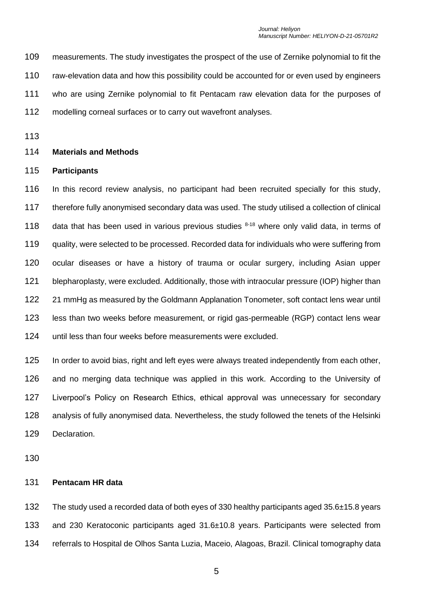measurements. The study investigates the prospect of the use of Zernike polynomial to fit the raw-elevation data and how this possibility could be accounted for or even used by engineers who are using Zernike polynomial to fit Pentacam raw elevation data for the purposes of modelling corneal surfaces or to carry out wavefront analyses.

## **Materials and Methods**

## **Participants**

 In this record review analysis, no participant had been recruited specially for this study, therefore fully anonymised secondary data was used. The study utilised a collection of clinical 118 data that has been used in various previous studies  $8-18$  where only valid data, in terms of quality, were selected to be processed. Recorded data for individuals who were suffering from ocular diseases or have a history of trauma or ocular surgery, including Asian upper blepharoplasty, were excluded. Additionally, those with intraocular pressure (IOP) higher than 21 mmHg as measured by the Goldmann Applanation Tonometer, soft contact lens wear until less than two weeks before measurement, or rigid gas-permeable (RGP) contact lens wear until less than four weeks before measurements were excluded.

 In order to avoid bias, right and left eyes were always treated independently from each other, and no merging data technique was applied in this work. According to the University of Liverpool's Policy on Research Ethics, ethical approval was unnecessary for secondary analysis of fully anonymised data. Nevertheless, the study followed the tenets of the Helsinki Declaration.

## **Pentacam HR data**

 The study used a recorded data of both eyes of 330 healthy participants aged 35.6±15.8 years and 230 Keratoconic participants aged 31.6±10.8 years. Participants were selected from referrals to Hospital de Olhos Santa Luzia, Maceio, Alagoas, Brazil. Clinical tomography data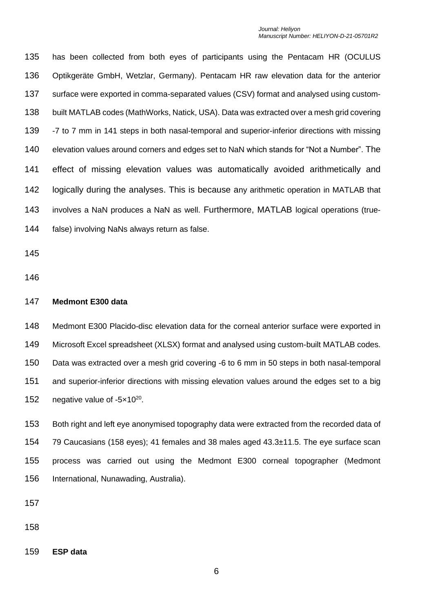has been collected from both eyes of participants using the Pentacam HR (OCULUS Optikgeräte GmbH, Wetzlar, Germany). Pentacam HR raw elevation data for the anterior surface were exported in comma-separated values (CSV) format and analysed using custom- built MATLAB codes (MathWorks, Natick, USA). Data was extracted over a mesh grid covering -7 to 7 mm in 141 steps in both nasal-temporal and superior-inferior directions with missing elevation values around corners and edges set to NaN which stands for "Not a Number". The effect of missing elevation values was automatically avoided arithmetically and logically during the analyses. This is because any arithmetic operation in MATLAB that involves a NaN produces a NaN as well. Furthermore, MATLAB logical operations (true-false) involving NaNs always return as false.

- 
- 

## **Medmont E300 data**

 Medmont E300 Placido-disc elevation data for the corneal anterior surface were exported in Microsoft Excel spreadsheet (XLSX) format and analysed using custom-built MATLAB codes. Data was extracted over a mesh grid covering -6 to 6 mm in 50 steps in both nasal-temporal and superior-inferior directions with missing elevation values around the edges set to a big 152 negative value of  $-5\times10^{20}$ .

 Both right and left eye anonymised topography data were extracted from the recorded data of 79 Caucasians (158 eyes); 41 females and 38 males aged 43.3±11.5. The eye surface scan process was carried out using the Medmont E300 corneal topographer (Medmont International, Nunawading, Australia).

- 
- 
- **ESP data**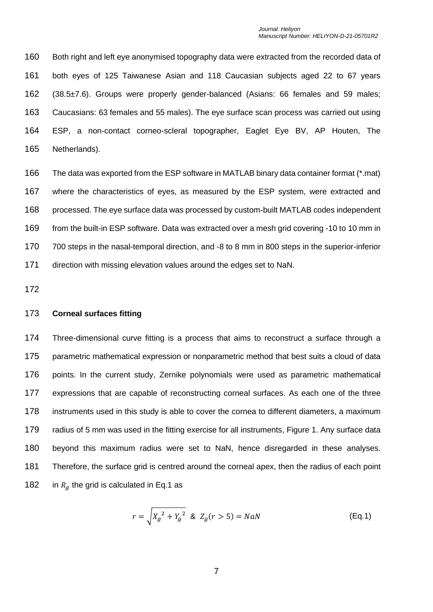Both right and left eye anonymised topography data were extracted from the recorded data of both eyes of 125 Taiwanese Asian and 118 Caucasian subjects aged 22 to 67 years (38.5±7.6). Groups were properly gender-balanced (Asians: 66 females and 59 males; Caucasians: 63 females and 55 males). The eye surface scan process was carried out using ESP, a non-contact corneo-scleral topographer, Eaglet Eye BV, AP Houten, The Netherlands).

 The data was exported from the ESP software in MATLAB binary data container format (\*.mat) where the characteristics of eyes, as measured by the ESP system, were extracted and processed. The eye surface data was processed by custom-built MATLAB codes independent from the built-in ESP software. Data was extracted over a mesh grid covering -10 to 10 mm in 700 steps in the nasal-temporal direction, and -8 to 8 mm in 800 steps in the superior-inferior direction with missing elevation values around the edges set to NaN.

## **Corneal surfaces fitting**

 Three-dimensional curve fitting is a process that aims to reconstruct a surface through a parametric mathematical expression or nonparametric method that best suits a cloud of data points. In the current study, Zernike polynomials were used as parametric mathematical 177 expressions that are capable of reconstructing corneal surfaces. As each one of the three instruments used in this study is able to cover the cornea to different diameters, a maximum radius of 5 mm was used in the fitting exercise for all instruments, [Figure 1.](#page-23-0) Any surface data beyond this maximum radius were set to NaN, hence disregarded in these analyses. Therefore, the surface grid is centred around the corneal apex, then the radius of each point 182 in  $R_a$  the grid is calculated in Eq.1 as

$$
r = \sqrt{X_g^2 + Y_g^2} \& Z_g(r > 5) = NaN
$$
 (Eq.1)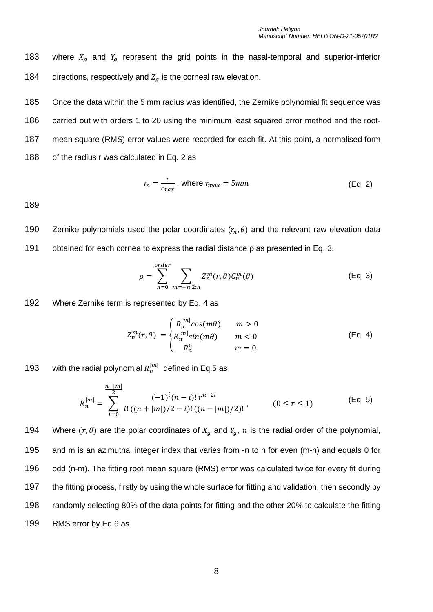183 where  $X_g$  and  $Y_g$  represent the grid points in the nasal-temporal and superior-inferior 184 directions, respectively and  $Z_q$  is the corneal raw elevation.

 Once the data within the 5 mm radius was identified, the Zernike polynomial fit sequence was carried out with orders 1 to 20 using the minimum least squared error method and the root- mean-square (RMS) error values were recorded for each fit. At this point, a normalised form of the radius r was calculated in Eq. 2 as

$$
r_n = \frac{r}{r_{max}} \text{ , where } r_{max} = 5 \, \text{mm} \tag{Eq. 2}
$$

189

190 Zernike polynomials used the polar coordinates  $(r_n, \theta)$  and the relevant raw elevation data 191 obtained for each cornea to express the radial distance ρ as presented in Eq. 3.

$$
\rho = \sum_{n=0}^{order} \sum_{m=-n:2:n} Z_n^m(r,\theta) C_n^m(\theta)
$$
 (Eq. 3)

192 Where Zernike term is represented by Eq. 4 as

$$
Z_n^m(r,\theta) = \begin{cases} R_n^{|m|} \cos(m\theta) & m > 0\\ R_n^{|m|} \sin(m\theta) & m < 0\\ R_n^0 & m = 0 \end{cases} \tag{Eq. 4}
$$

193 vith the radial polynomial  $R_n^{|m|}$  defined in Eq.5 as

$$
R_n^{|m|} = \sum_{i=0}^{\lfloor \frac{n-|m|}{2} \rfloor} \frac{(-1)^i (n-i)! \, r^{n-2i}}{i! \, ((n+|m|)/2-i)! \, ((n-|m|)/2)!} \,, \qquad (0 \le r \le 1) \tag{Eq. 5}
$$

194 Where  $(r, \theta)$  are the polar coordinates of  $X_g$  and  $Y_g$ , n is the radial order of the polynomial, and m is an azimuthal integer index that varies from -n to n for even (m-n) and equals 0 for odd (n-m). The fitting root mean square (RMS) error was calculated twice for every fit during 197 the fitting process, firstly by using the whole surface for fitting and validation, then secondly by randomly selecting 80% of the data points for fitting and the other 20% to calculate the fitting RMS error by Eq.6 as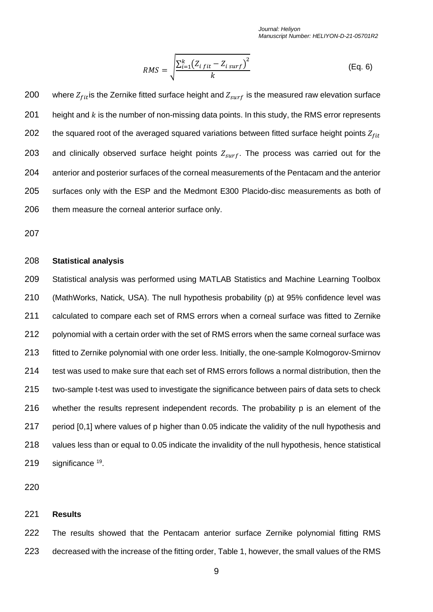$$
RMS = \sqrt{\frac{\sum_{i=1}^{k} (Z_{i\,fit} - Z_{i\,surf})^2}{k}}
$$
 (Eq. 6)

200 where  $Z_{fit}$  is the Zernike fitted surface height and  $Z_{surf}$  is the measured raw elevation surface 201 height and  $k$  is the number of non-missing data points. In this study, the RMS error represents 202 the squared root of the averaged squared variations between fitted surface height points  $Z_{fit}$ 203 and clinically observed surface height points  $Z_{surf}$ . The process was carried out for the 204 anterior and posterior surfaces of the corneal measurements of the Pentacam and the anterior 205 surfaces only with the ESP and the Medmont E300 Placido-disc measurements as both of 206 them measure the corneal anterior surface only.

## 208 **Statistical analysis**

 Statistical analysis was performed using MATLAB Statistics and Machine Learning Toolbox (MathWorks, Natick, USA). The null hypothesis probability (p) at 95% confidence level was calculated to compare each set of RMS errors when a corneal surface was fitted to Zernike 212 polynomial with a certain order with the set of RMS errors when the same corneal surface was fitted to Zernike polynomial with one order less. Initially, the one-sample Kolmogorov-Smirnov test was used to make sure that each set of RMS errors follows a normal distribution, then the two-sample t-test was used to investigate the significance between pairs of data sets to check whether the results represent independent records. The probability p is an element of the 217 period [0,1] where values of p higher than 0.05 indicate the validity of the null hypothesis and values less than or equal to 0.05 indicate the invalidity of the null hypothesis, hence statistical 219 significance  $19$ .

220

## 221 **Results**

222 The results showed that the Pentacam anterior surface Zernike polynomial fitting RMS 223 decreased with the increase of the fitting order, [Table 1,](#page-11-0) however, the small values of the RMS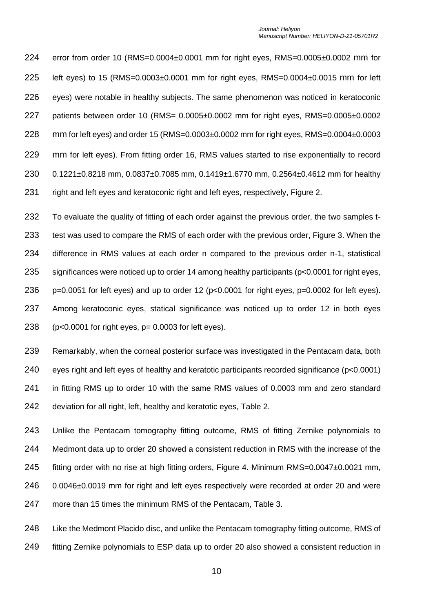error from order 10 (RMS=0.0004±0.0001 mm for right eyes, RMS=0.0005±0.0002 mm for left eyes) to 15 (RMS=0.0003±0.0001 mm for right eyes, RMS=0.0004±0.0015 mm for left eyes) were notable in healthy subjects. The same phenomenon was noticed in keratoconic patients between order 10 (RMS= 0.0005±0.0002 mm for right eyes, RMS=0.0005±0.0002 mm for left eyes) and order 15 (RMS=0.0003±0.0002 mm for right eyes, RMS=0.0004±0.0003 mm for left eyes). From fitting order 16, RMS values started to rise exponentially to record 0.1221±0.8218 mm, 0.0837±0.7085 mm, 0.1419±1.6770 mm, 0.2564±0.4612 mm for healthy 231 right and left eyes and keratoconic right and left eyes, respectively, [Figure 2.](#page-24-0)

 To evaluate the quality of fitting of each order against the previous order, the two samples t-233 test was used to compare the RMS of each order with the previous order, [Figure 3.](#page-25-0) When the difference in RMS values at each order n compared to the previous order n-1, statistical significances were noticed up to order 14 among healthy participants (p<0.0001 for right eyes, 236 p=0.0051 for left eyes) and up to order 12 ( $p<0.0001$  for right eyes,  $p=0.0002$  for left eyes). Among keratoconic eyes, statical significance was noticed up to order 12 in both eyes (p<0.0001 for right eyes, p= 0.0003 for left eyes).

 Remarkably, when the corneal posterior surface was investigated in the Pentacam data, both eyes right and left eyes of healthy and keratotic participants recorded significance (p<0.0001) in fitting RMS up to order 10 with the same RMS values of 0.0003 mm and zero standard deviation for all right, left, healthy and keratotic eyes, [Table 2.](#page-12-0)

 Unlike the Pentacam tomography fitting outcome, RMS of fitting Zernike polynomials to Medmont data up to order 20 showed a consistent reduction in RMS with the increase of the fitting order with no rise at high fitting orders, [Figure 4.](#page-26-0) Minimum RMS=0.0047±0.0021 mm, 0.0046±0.0019 mm for right and left eyes respectively were recorded at order 20 and were more than 15 times the minimum RMS of the Pentacam, [Table 3.](#page-13-0)

 Like the Medmont Placido disc, and unlike the Pentacam tomography fitting outcome, RMS of fitting Zernike polynomials to ESP data up to order 20 also showed a consistent reduction in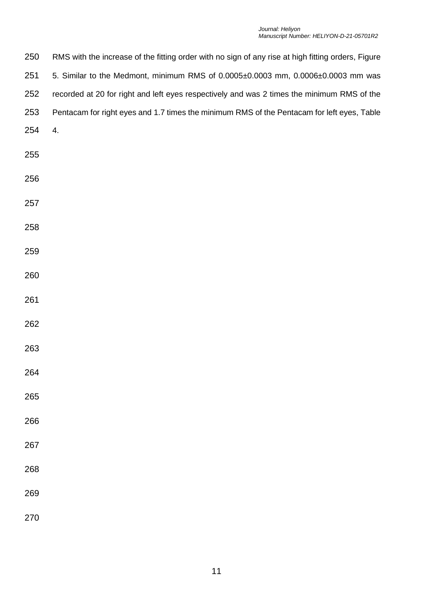| 250 | RMS with the increase of the fitting order with no sign of any rise at high fitting orders, Figure |
|-----|----------------------------------------------------------------------------------------------------|
| 251 | 5. Similar to the Medmont, minimum RMS of 0.0005±0.0003 mm, 0.0006±0.0003 mm was                   |
| 252 | recorded at 20 for right and left eyes respectively and was 2 times the minimum RMS of the         |
| 253 | Pentacam for right eyes and 1.7 times the minimum RMS of the Pentacam for left eyes, Table         |
| 254 | 4.                                                                                                 |
| 255 |                                                                                                    |
| 256 |                                                                                                    |
| 257 |                                                                                                    |
| 258 |                                                                                                    |
| 259 |                                                                                                    |
| 260 |                                                                                                    |
| 261 |                                                                                                    |
| 262 |                                                                                                    |
| 263 |                                                                                                    |
| 264 |                                                                                                    |
| 265 |                                                                                                    |
| 266 |                                                                                                    |
| 267 |                                                                                                    |
| 268 |                                                                                                    |
| 269 |                                                                                                    |
| 270 |                                                                                                    |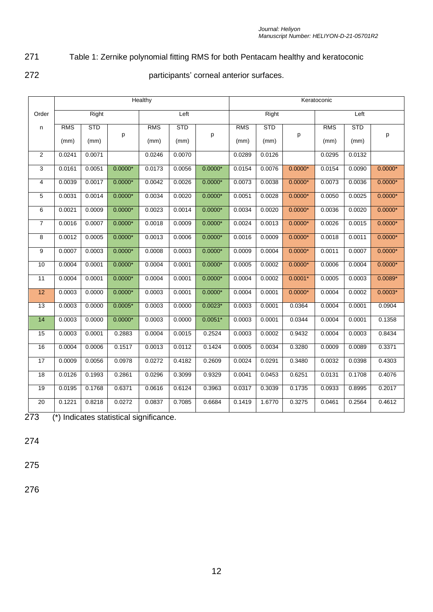# <span id="page-11-0"></span>271 Table 1: Zernike polynomial fitting RMS for both Pentacam healthy and keratoconic

272 participants' corneal anterior surfaces.

|                 | Healthy    |            |           |            |            |           | Keratoconic |            |           |            |            |           |
|-----------------|------------|------------|-----------|------------|------------|-----------|-------------|------------|-----------|------------|------------|-----------|
| Order           | Right      |            |           |            | Left       |           | Right       |            |           | Left       |            |           |
| $\sf n$         | <b>RMS</b> | <b>STD</b> |           | <b>RMS</b> | <b>STD</b> |           | <b>RMS</b>  | <b>STD</b> |           | <b>RMS</b> | <b>STD</b> |           |
|                 | (mm)       | (mm)       | р         | (mm)       | (mm)       | р         | (mm)        | (mm)       | р         | (mm)       | (mm)       | р         |
| $\overline{2}$  | 0.0241     | 0.0071     |           | 0.0246     | 0.0070     |           | 0.0289      | 0.0126     |           | 0.0295     | 0.0132     |           |
| 3               | 0.0161     | 0.0051     | $0.0000*$ | 0.0173     | 0.0056     | $0.0000*$ | 0.0154      | 0.0076     | $0.0000*$ | 0.0154     | 0.0090     | $0.0000*$ |
| $\overline{4}$  | 0.0039     | 0.0017     | $0.0000*$ | 0.0042     | 0.0026     | $0.0000*$ | 0.0073      | 0.0038     | $0.0000*$ | 0.0073     | 0.0036     | $0.0000*$ |
| 5               | 0.0031     | 0.0014     | $0.0000*$ | 0.0034     | 0.0020     | $0.0000*$ | 0.0051      | 0.0028     | $0.0000*$ | 0.0050     | 0.0025     | $0.0000*$ |
| 6               | 0.0021     | 0.0009     | $0.0000*$ | 0.0023     | 0.0014     | $0.0000*$ | 0.0034      | 0.0020     | $0.0000*$ | 0.0036     | 0.0020     | $0.0000*$ |
| $\overline{7}$  | 0.0016     | 0.0007     | $0.0000*$ | 0.0018     | 0.0009     | $0.0000*$ | 0.0024      | 0.0013     | $0.0000*$ | 0.0026     | 0.0015     | $0.0000*$ |
| 8               | 0.0012     | 0.0005     | $0.0000*$ | 0.0013     | 0.0006     | $0.0000*$ | 0.0016      | 0.0009     | $0.0000*$ | 0.0018     | 0.0011     | $0.0000*$ |
| 9               | 0.0007     | 0.0003     | $0.0000*$ | 0.0008     | 0.0003     | $0.0000*$ | 0.0009      | 0.0004     | $0.0000*$ | 0.0011     | 0.0007     | $0.0000*$ |
| 10              | 0.0004     | 0.0001     | $0.0000*$ | 0.0004     | 0.0001     | $0.0000*$ | 0.0005      | 0.0002     | $0.0000*$ | 0.0006     | 0.0004     | $0.0000*$ |
| $\overline{11}$ | 0.0004     | 0.0001     | $0.0000*$ | 0.0004     | 0.0001     | $0.0000*$ | 0.0004      | 0.0002     | $0.0001*$ | 0.0005     | 0.0003     | $0.0089*$ |
| 12              | 0.0003     | 0.0000     | $0.0000*$ | 0.0003     | 0.0001     | $0.0000*$ | 0.0004      | 0.0001     | $0.0000*$ | 0.0004     | 0.0002     | $0.0003*$ |
| 13              | 0.0003     | 0.0000     | $0.0005*$ | 0.0003     | 0.0000     | $0.0023*$ | 0.0003      | 0.0001     | 0.0364    | 0.0004     | 0.0001     | 0.0904    |
| 14              | 0.0003     | 0.0000     | $0.0000*$ | 0.0003     | 0.0000     | $0.0051*$ | 0.0003      | 0.0001     | 0.0344    | 0.0004     | 0.0001     | 0.1358    |
| 15              | 0.0003     | 0.0001     | 0.2883    | 0.0004     | 0.0015     | 0.2524    | 0.0003      | 0.0002     | 0.9432    | 0.0004     | 0.0003     | 0.8434    |
| 16              | 0.0004     | 0.0006     | 0.1517    | 0.0013     | 0.0112     | 0.1424    | 0.0005      | 0.0034     | 0.3280    | 0.0009     | 0.0089     | 0.3371    |
| $\overline{17}$ | 0.0009     | 0.0056     | 0.0978    | 0.0272     | 0.4182     | 0.2609    | 0.0024      | 0.0291     | 0.3480    | 0.0032     | 0.0398     | 0.4303    |
| 18              | 0.0126     | 0.1993     | 0.2861    | 0.0296     | 0.3099     | 0.9329    | 0.0041      | 0.0453     | 0.6251    | 0.0131     | 0.1708     | 0.4076    |
| 19              | 0.0195     | 0.1768     | 0.6371    | 0.0616     | 0.6124     | 0.3963    | 0.0317      | 0.3039     | 0.1735    | 0.0933     | 0.8995     | 0.2017    |
| $\overline{20}$ | 0.1221     | 0.8218     | 0.0272    | 0.0837     | 0.7085     | 0.6684    | 0.1419      | 1.6770     | 0.3275    | 0.0461     | 0.2564     | 0.4612    |

273 (\*) Indicates statistical significance.

274

275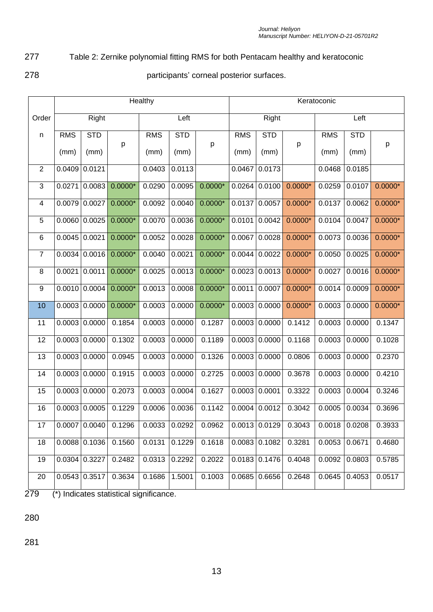# <span id="page-12-0"></span>277 Table 2: Zernike polynomial fitting RMS for both Pentacam healthy and keratoconic

278 participants' corneal posterior surfaces.

|                | Healthy    |                 |           |            |               |           | Keratoconic     |                 |           |            |            |           |
|----------------|------------|-----------------|-----------|------------|---------------|-----------|-----------------|-----------------|-----------|------------|------------|-----------|
| Order          | Right      |                 |           |            | Left          |           | Right           |                 |           | Left       |            |           |
| n              | <b>RMS</b> | <b>STD</b>      |           | <b>RMS</b> | <b>STD</b>    |           | <b>RMS</b>      | <b>STD</b>      |           | <b>RMS</b> | <b>STD</b> |           |
|                | (mm)       | (mm)            | p         | (mm)       | (mm)          | p         | (mm)            | (mm)            | р         | (mm)       | (mm)       | p         |
| 2              | 0.0409     | 0.0121          |           | 0.0403     | 0.0113        |           | 0.0467          | 0.0173          |           | 0.0468     | 0.0185     |           |
| 3              | 0.0271     | 0.0083          | $0.0000*$ | 0.0290     | 0.0095        | $0.0000*$ | 0.0264          | 0.0100          | $0.0000*$ | 0.0259     | 0.0107     | $0.0000*$ |
| 4              | 0.0079     | 0.0027          | $0.0000*$ | 0.0092     | 0.0040        | $0.0000*$ | 0.0137          | 0.0057          | $0.0000*$ | 0.0137     | 0.0062     | $0.0000*$ |
| 5              | 0.0060     | 0.0025          | $0.0000*$ | 0.0070     | 0.0036        | $0.0000*$ | 0.0101          | 0.0042          | $0.0000*$ | 0.0104     | 0.0047     | $0.0000*$ |
| 6              | 0.0045     | 0.0021          | $0.0000*$ | 0.0052     | 0.0028        | $0.0000*$ | 0.0067          | 0.0028          | $0.0000*$ | 0.0073     | 0.0036     | $0.0000*$ |
| $\overline{7}$ | 0.0034     | 0.0016          | $0.0000*$ | 0.0040     | 0.0021        | $0.0000*$ | 0.0044          | 0.0022          | $0.0000*$ | 0.0050     | 0.0025     | $0.0000*$ |
| 8              | 0.0021     | 0.0011          | $0.0000*$ | 0.0025     | 0.0013        | $0.0000*$ | 0.0023          | 0.0013          | $0.0000*$ | 0.0027     | 0.0016     | $0.0000*$ |
| 9              | 0.0010     | 0.0004          | $0.0000*$ | 0.0013     | 0.0008        | $0.0000*$ | 0.0011          | 0.0007          | $0.0000*$ | 0.0014     | 0.0009     | $0.0000*$ |
| 10             | 0.0003     | 0.0000          | $0.0000*$ | 0.0003     | 0.0000        | $0.0000*$ | 0.0003          | 0.0000          | $0.0000*$ | 0.0003     | 0.0000     | $0.0000*$ |
| 11             | 0.0003     | 0.0000          | 0.1854    | 0.0003     | 0.0000        | 0.1287    | 0.0003          | 0.0000          | 0.1412    | 0.0003     | 0.0000     | 0.1347    |
| 12             | 0.0003     | 0.0000          | 0.1302    | 0.0003     | 0.0000        | 0.1189    | 0.0003          | 0.0000          | 0.1168    | 0.0003     | 0.0000     | 0.1028    |
| 13             | 0.0003     | 0.0000          | 0.0945    | 0.0003     | 0.0000        | 0.1326    | 0.0003          | 0.0000          | 0.0806    | 0.0003     | 0.0000     | 0.2370    |
| 14             | 0.0003     | 0.0000          | 0.1915    | 0.0003     | 0.0000        | 0.2725    | 0.0003          | 0.0000          | 0.3678    | 0.0003     | 0.0000     | 0.4210    |
| 15             | 0.0003     | 0.0000          | 0.2073    | 0.0003     | 0.0004        | 0.1627    | 0.0003          | 0.0001          | 0.3322    | 0.0003     | 0.0004     | 0.3246    |
| 16             | 0.0003     | 0.0005          | 0.1229    | 0.0006     | 0.0036        | 0.1142    | 0.0004          | 0.0012          | 0.3042    | 0.0005     | 0.0034     | 0.3696    |
| 17             |            | $0.0007$ 0.0040 | 0.1296    |            | 0.0033 0.0292 | 0.0962    | $0.0013$ 0.0129 |                 | 0.3043    | 0.0018     | 0.0208     | 0.3933    |
| 18             |            | $0.0088$ 0.1036 | 0.1560    | 0.0131     | 0.1229        | 0.1618    | 0.0083          | 0.1082          | 0.3281    | 0.0053     | 0.0671     | 0.4680    |
| 19             |            | 0.0304 0.3227   | 0.2482    | 0.0313     | 0.2292        | 0.2022    |                 | $0.0183$ 0.1476 | 0.4048    | 0.0092     | 0.0803     | 0.5785    |
| 20             |            | 0.0543   0.3517 | 0.3634    | 0.1686     | 1.5001        | 0.1003    | 0.0685          | 0.6656          | 0.2648    | 0.0645     | 0.4053     | 0.0517    |

279 (\*) Indicates statistical significance.

280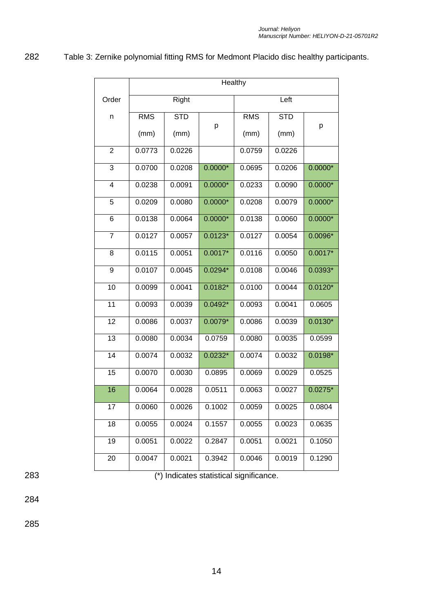## <span id="page-13-0"></span>282 Table 3: Zernike polynomial fitting RMS for Medmont Placido disc healthy participants.

|                | Healthy    |                                            |                       |                    |                     |           |  |  |  |  |
|----------------|------------|--------------------------------------------|-----------------------|--------------------|---------------------|-----------|--|--|--|--|
| Order          |            | Right                                      |                       | Left               |                     |           |  |  |  |  |
| n              | <b>RMS</b> | <b>STD</b>                                 |                       | <b>RMS</b>         | <b>STD</b>          |           |  |  |  |  |
|                | (mm)       | (mm)                                       | p                     | (mm)               | (mm)                | р         |  |  |  |  |
| $\overline{2}$ | 0.0773     | 0.0226                                     |                       | 0.0759             | 0.0226              |           |  |  |  |  |
| 3              | 0.0700     | 0.0208                                     | $0.0000*$             | 0.0695             | 0.0206              | $0.0000*$ |  |  |  |  |
| 4              | 0.0238     | 0.0091                                     | $0.0000*$             | 0.0233             | 0.0090              | $0.0000*$ |  |  |  |  |
| 5              | 0.0209     | 0.0080                                     | $0.0000*$             | 0.0208             | 0.0079              | $0.0000*$ |  |  |  |  |
| 6              | 0.0138     | 0.0064                                     | $0.0000*$             | 0.0138             | 0.0060              | $0.0000*$ |  |  |  |  |
| $\overline{7}$ | 0.0127     | 0.0057                                     | $0.0123*$             | 0.0127             | $0.005\overline{4}$ | $0.0096*$ |  |  |  |  |
| 8              | 0.0115     | 0.0051                                     | $0.0017*$             | 0.0116             | 0.0050              | $0.0017*$ |  |  |  |  |
| 9              | 0.0107     | 0.0045                                     | $0.0294*$             | 0.0108             | 0.0046              | $0.0393*$ |  |  |  |  |
| 10             | 0.0099     | 0.0041                                     | $0.0182*$             | 0.0100             | 0.0044              | $0.0120*$ |  |  |  |  |
| 11             | 0.0093     | 0.0039                                     | $0.0492*$             | 0.0093             | 0.0041              | 0.0605    |  |  |  |  |
| 12             | 0.0086     | 0.0037                                     | $0.0079*$             | 0.0086             | 0.0039              | $0.0130*$ |  |  |  |  |
| 13             | 0.0080     | 0.0034                                     | 0.0759                | 0.0080             | 0.0035              | 0.0599    |  |  |  |  |
| 14             | 0.0074     | 0.0032                                     | $0.0232*$             | 0.0074             | 0.0032              | $0.0198*$ |  |  |  |  |
| 15             | 0.0070     | 0.0030                                     | 0.0895                | 0.0069             | 0.0029              | 0.0525    |  |  |  |  |
| 16             | 0.0064     | 0.0028                                     | 0.0511                | 0.0063             | 0.0027              | $0.0275*$ |  |  |  |  |
| 17             | 0.0060     | 0.0026                                     | 0.1002                | 0.0059             | 0.0025              | 0.0804    |  |  |  |  |
| 18             | 0.0055     | 0.0024                                     | 0.1557                | 0.0055             | 0.0023              | 0.0635    |  |  |  |  |
| 19             | 0.0051     | 0.0022                                     | 0.2847                | 0.0051             | 0.0021              | 0.1050    |  |  |  |  |
| 20             | 0.0047     | 0.0021<br>$\left( \star \right)$ Indicator | 0.3942<br>atatiationl | 0.0046<br>aianifis | 0.0019              | 0.1290    |  |  |  |  |

283 (\*) Indicates statistical significance.

284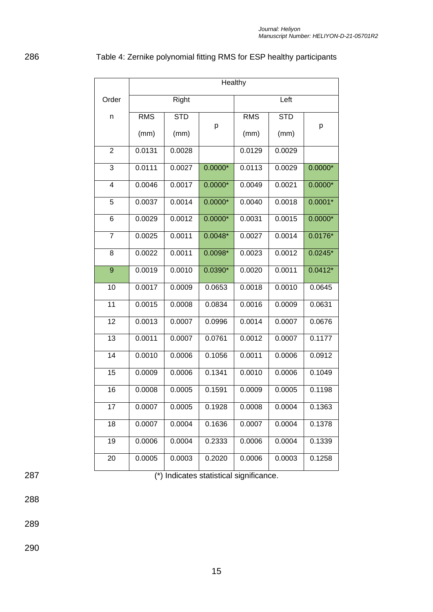## <span id="page-14-0"></span>286 Table 4: Zernike polynomial fitting RMS for ESP healthy participants

|                | Healthy    |            |                          |                             |            |           |  |  |  |  |
|----------------|------------|------------|--------------------------|-----------------------------|------------|-----------|--|--|--|--|
| Order          |            | Right      |                          |                             | Left       |           |  |  |  |  |
| n              | <b>RMS</b> | <b>STD</b> |                          | <b>RMS</b>                  | <b>STD</b> |           |  |  |  |  |
|                | (mm)       | (mm)       | р                        | (mm)                        | (mm)       | р         |  |  |  |  |
| $\overline{2}$ | 0.0131     | 0.0028     |                          | 0.0129                      | 0.0029     |           |  |  |  |  |
| 3              | 0.0111     | 0.0027     | $0.0000*$                | 0.0113                      | 0.0029     | $0.0000*$ |  |  |  |  |
| 4              | 0.0046     | 0.0017     | $0.0000*$                | 0.0049                      | 0.0021     | $0.0000*$ |  |  |  |  |
| 5              | 0.0037     | 0.0014     | $0.0000*$                | 0.0040                      | 0.0018     | $0.0001*$ |  |  |  |  |
| 6              | 0.0029     | 0.0012     | $0.0000*$                | 0.0031                      | 0.0015     | $0.0000*$ |  |  |  |  |
| $\overline{7}$ | 0.0025     | 0.0011     | $0.0048*$                | 0.0027                      | 0.0014     | $0.0176*$ |  |  |  |  |
| 8              | 0.0022     | 0.0011     | $0.0098*$                | 0.0023                      | 0.0012     | $0.0245*$ |  |  |  |  |
| 9              | 0.0019     | 0.0010     | $0.0390*$                | 0.0020                      | 0.0011     | $0.0412*$ |  |  |  |  |
| 10             | 0.0017     | 0.0009     | 0.0653                   | 0.0018                      | 0.0010     | 0.0645    |  |  |  |  |
| 11             | 0.0015     | 0.0008     | 0.0834                   | 0.0016                      | 0.0009     | 0.0631    |  |  |  |  |
| 12             | 0.0013     | 0.0007     | 0.0996                   | 0.0014                      | 0.0007     | 0.0676    |  |  |  |  |
| 13             | 0.0011     | 0.0007     | 0.0761                   | 0.0012                      | 0.0007     | 0.1177    |  |  |  |  |
| 14             | 0.0010     | 0.0006     | 0.1056                   | 0.0011                      | 0.0006     | 0.0912    |  |  |  |  |
| 15             | 0.0009     | 0.0006     | 0.1341                   | 0.0010                      | 0.0006     | 0.1049    |  |  |  |  |
| 16             | 0.0008     | 0.0005     | 0.1591                   | 0.0009                      | 0.0005     | 0.1198    |  |  |  |  |
| 17             | 0.0007     | 0.0005     | 0.1928                   | 0.0008                      | 0.0004     | 0.1363    |  |  |  |  |
| 18             | 0.0007     | 0.0004     | 0.1636                   | 0.0007                      | 0.0004     | 0.1378    |  |  |  |  |
| 19             | 0.0006     | 0.0004     | 0.2333                   | 0.0006                      | 0.0004     | 0.1339    |  |  |  |  |
| 20             | 0.0005     | 0.0003     | 0.2020<br>$\overline{a}$ | 0.0006<br>$\sim$ 101 $\sim$ | 0.0003     | 0.1258    |  |  |  |  |

287 (\*) Indicates statistical significance.

288

289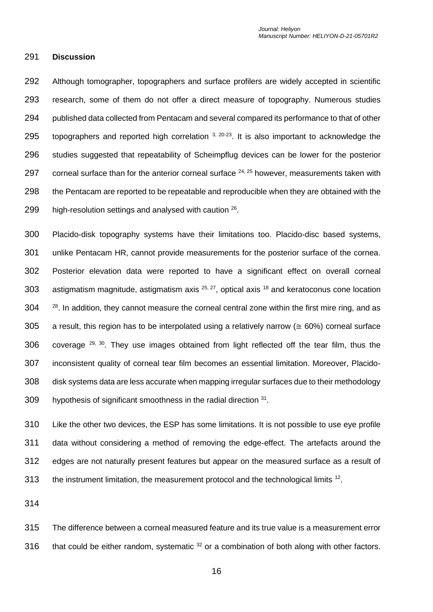## **Discussion**

292 Although tomographer, topographers and surface profilers are widely accepted in scientific research, some of them do not offer a direct measure of topography. Numerous studies published data collected from Pentacam and several compared its performance to that of other 295 topographers and reported high correlation  $3, 20-23$ . It is also important to acknowledge the studies suggested that repeatability of Scheimpflug devices can be lower for the posterior 297 corneal surface than for the anterior corneal surface  $24, 25$  however, measurements taken with 298 the Pentacam are reported to be repeatable and reproducible when they are obtained with the 299 high-resolution settings and analysed with caution .

 Placido-disk topography systems have their limitations too. Placido-disc based systems, unlike Pentacam HR, cannot provide measurements for the posterior surface of the cornea. Posterior elevation data were reported to have a significant effect on overall corneal 303 astigmatism magnitude, astigmatism axis  $25, 27$ , optical axis  $18$  and keratoconus cone location  $\textdegree{}^{28}$ . In addition, they cannot measure the corneal central zone within the first mire ring, and as 305 a result, this region has to be interpolated using a relatively narrow ( $\approx$  60%) corneal surface 306 coverage  $29, 30$ . They use images obtained from light reflected off the tear film, thus the inconsistent quality of corneal tear film becomes an essential limitation. Moreover, Placido- disk systems data are less accurate when mapping irregular surfaces due to their methodology 309 hypothesis of significant smoothness in the radial direction .

 Like the other two devices, the ESP has some limitations. It is not possible to use eye profile data without considering a method of removing the edge-effect. The artefacts around the edges are not naturally present features but appear on the measured surface as a result of 313 the instrument limitation, the measurement protocol and the technological limits .

 The difference between a corneal measured feature and its true value is a measurement error 316 that could be either random, systematic or a combination of both along with other factors.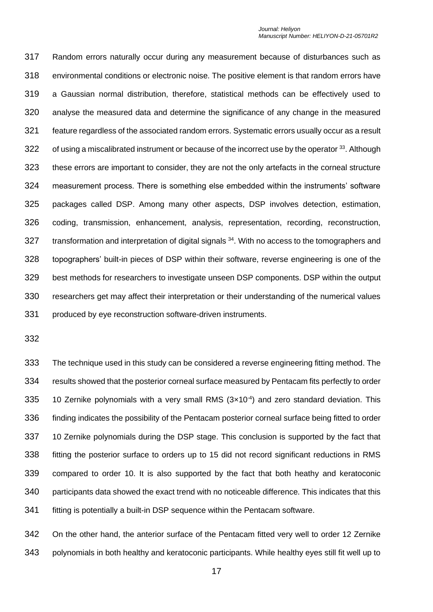Random errors naturally occur during any measurement because of disturbances such as environmental conditions or electronic noise. The positive element is that random errors have a Gaussian normal distribution, therefore, statistical methods can be effectively used to analyse the measured data and determine the significance of any change in the measured feature regardless of the associated random errors. Systematic errors usually occur as a result 322 of using a miscalibrated instrument or because of the incorrect use by the operator <sup>33</sup>. Although these errors are important to consider, they are not the only artefacts in the corneal structure measurement process. There is something else embedded within the instruments' software packages called DSP. Among many other aspects, DSP involves detection, estimation, coding, transmission, enhancement, analysis, representation, recording, reconstruction, 327 transformation and interpretation of digital signals . With no access to the tomographers and topographers' built-in pieces of DSP within their software, reverse engineering is one of the best methods for researchers to investigate unseen DSP components. DSP within the output researchers get may affect their interpretation or their understanding of the numerical values produced by eye reconstruction software-driven instruments.

 The technique used in this study can be considered a reverse engineering fitting method. The results showed that the posterior corneal surface measured by Pentacam fits perfectly to order 335 10 Zernike polynomials with a very small RMS  $(3\times10^{-4})$  and zero standard deviation. This finding indicates the possibility of the Pentacam posterior corneal surface being fitted to order 337 10 Zernike polynomials during the DSP stage. This conclusion is supported by the fact that fitting the posterior surface to orders up to 15 did not record significant reductions in RMS compared to order 10. It is also supported by the fact that both heathy and keratoconic participants data showed the exact trend with no noticeable difference. This indicates that this fitting is potentially a built-in DSP sequence within the Pentacam software.

 On the other hand, the anterior surface of the Pentacam fitted very well to order 12 Zernike polynomials in both healthy and keratoconic participants. While healthy eyes still fit well up to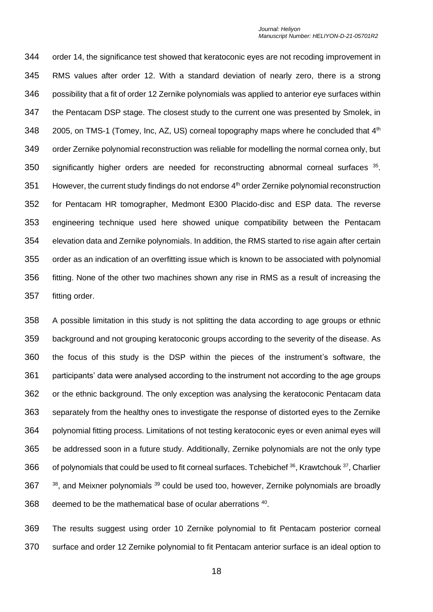order 14, the significance test showed that keratoconic eyes are not recoding improvement in RMS values after order 12. With a standard deviation of nearly zero, there is a strong possibility that a fit of order 12 Zernike polynomials was applied to anterior eye surfaces within the Pentacam DSP stage. The closest study to the current one was presented by Smolek, in  $\,$  2005, on TMS-1 (Tomey, Inc, AZ, US) corneal topography maps where he concluded that  $4<sup>th</sup>$  order Zernike polynomial reconstruction was reliable for modelling the normal cornea only, but 350 significantly higher orders are needed for reconstructing abnormal corneal surfaces . 351 However, the current study findings do not endorse 4<sup>th</sup> order Zernike polynomial reconstruction for Pentacam HR tomographer, Medmont E300 Placido-disc and ESP data. The reverse engineering technique used here showed unique compatibility between the Pentacam elevation data and Zernike polynomials. In addition, the RMS started to rise again after certain order as an indication of an overfitting issue which is known to be associated with polynomial fitting. None of the other two machines shown any rise in RMS as a result of increasing the fitting order.

 A possible limitation in this study is not splitting the data according to age groups or ethnic background and not grouping keratoconic groups according to the severity of the disease. As the focus of this study is the DSP within the pieces of the instrument's software, the participants' data were analysed according to the instrument not according to the age groups or the ethnic background. The only exception was analysing the keratoconic Pentacam data separately from the healthy ones to investigate the response of distorted eyes to the Zernike polynomial fitting process. Limitations of not testing keratoconic eyes or even animal eyes will be addressed soon in a future study. Additionally, Zernike polynomials are not the only type 366 of polynomials that could be used to fit corneal surfaces. Tchebichef  $36$ , Krawtchouk  $37$ , Charlier <sup>38</sup>, and Meixner polynomials <sup>39</sup> could be used too, however, Zernike polynomials are broadly 368 deemed to be the mathematical base of ocular aberrations <sup>40</sup>.

 The results suggest using order 10 Zernike polynomial to fit Pentacam posterior corneal surface and order 12 Zernike polynomial to fit Pentacam anterior surface is an ideal option to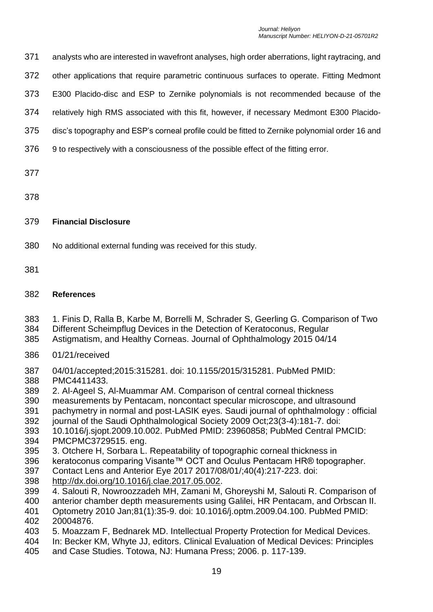analysts who are interested in wavefront analyses, high order aberrations, light raytracing, and other applications that require parametric continuous surfaces to operate. Fitting Medmont E300 Placido-disc and ESP to Zernike polynomials is not recommended because of the relatively high RMS associated with this fit, however, if necessary Medmont E300 Placido-disc's topography and ESP's corneal profile could be fitted to Zernike polynomial order 16 and

- 9 to respectively with a consciousness of the possible effect of the fitting error.
- 
- 
- **Financial Disclosure**
- No additional external funding was received for this study.
- 

## **References**

- 1. Finis D, Ralla B, Karbe M, Borrelli M, Schrader S, Geerling G. Comparison of Two
- Different Scheimpflug Devices in the Detection of Keratoconus, Regular
- Astigmatism, and Healthy Corneas. Journal of Ophthalmology 2015 04/14
- 01/21/received
- 04/01/accepted;2015:315281. doi: 10.1155/2015/315281. PubMed PMID:
- PMC4411433.
- 2. Al-Ageel S, Al-Muammar AM. Comparison of central corneal thickness
- measurements by Pentacam, noncontact specular microscope, and ultrasound
- pachymetry in normal and post-LASIK eyes. Saudi journal of ophthalmology : official
- journal of the Saudi Ophthalmological Society 2009 Oct;23(3-4):181-7. doi:
- 10.1016/j.sjopt.2009.10.002. PubMed PMID: 23960858; PubMed Central PMCID: PMCPMC3729515. eng.
- 3. Otchere H, Sorbara L. Repeatability of topographic corneal thickness in
- keratoconus comparing Visante™ OCT and Oculus Pentacam HR® topographer.
- Contact Lens and Anterior Eye 2017 2017/08/01/;40(4):217-223. doi:
- [http://dx.doi.org/10.1016/j.clae.2017.05.002.](http://dx.doi.org/10.1016/j.clae.2017.05.002)
- 4. Salouti R, Nowroozzadeh MH, Zamani M, Ghoreyshi M, Salouti R. Comparison of
- anterior chamber depth measurements using Galilei, HR Pentacam, and Orbscan II.
- Optometry 2010 Jan;81(1):35-9. doi: 10.1016/j.optm.2009.04.100. PubMed PMID: 20004876.
- 5. Moazzam F, Bednarek MD. Intellectual Property Protection for Medical Devices.
- In: Becker KM, Whyte JJ, editors. Clinical Evaluation of Medical Devices: Principles
- and Case Studies. Totowa, NJ: Humana Press; 2006. p. 117-139.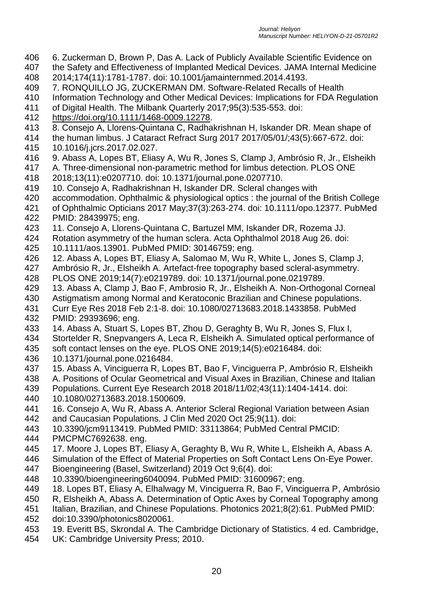- 6. Zuckerman D, Brown P, Das A. Lack of Publicly Available Scientific Evidence on
- the Safety and Effectiveness of Implanted Medical Devices. JAMA Internal Medicine 2014;174(11):1781-1787. doi: 10.1001/jamainternmed.2014.4193.
- 7. RONQUILLO JG, ZUCKERMAN DM. Software-Related Recalls of Health
- Information Technology and Other Medical Devices: Implications for FDA Regulation
- of Digital Health. The Milbank Quarterly 2017;95(3):535-553. doi:
- [https://doi.org/10.1111/1468-0009.12278.](https://doi.org/10.1111/1468-0009.12278)
- 8. Consejo A, Llorens-Quintana C, Radhakrishnan H, Iskander DR. Mean shape of
- the human limbus. J Cataract Refract Surg 2017 2017/05/01/;43(5):667-672. doi:
- 10.1016/j.jcrs.2017.02.027.
- 9. Abass A, Lopes BT, Eliasy A, Wu R, Jones S, Clamp J, Ambrósio R, Jr., Elsheikh
- A. Three-dimensional non-parametric method for limbus detection. PLOS ONE
- 2018;13(11):e0207710. doi: 10.1371/journal.pone.0207710.
- 10. Consejo A, Radhakrishnan H, Iskander DR. Scleral changes with
- accommodation. Ophthalmic & physiological optics : the journal of the British College
- of Ophthalmic Opticians 2017 May;37(3):263-274. doi: 10.1111/opo.12377. PubMed PMID: 28439975; eng.
- 11. Consejo A, Llorens-Quintana C, Bartuzel MM, Iskander DR, Rozema JJ.
- Rotation asymmetry of the human sclera. Acta Ophthalmol 2018 Aug 26. doi:
- 10.1111/aos.13901. PubMed PMID: 30146759; eng.
- 12. Abass A, Lopes BT, Eliasy A, Salomao M, Wu R, White L, Jones S, Clamp J,
- Ambrósio R, Jr., Elsheikh A. Artefact-free topography based scleral-asymmetry.
- PLOS ONE 2019;14(7):e0219789. doi: 10.1371/journal.pone.0219789.
- 13. Abass A, Clamp J, Bao F, Ambrosio R, Jr., Elsheikh A. Non-Orthogonal Corneal
- Astigmatism among Normal and Keratoconic Brazilian and Chinese populations.
- Curr Eye Res 2018 Feb 2:1-8. doi: 10.1080/02713683.2018.1433858. PubMed PMID: 29393696; eng.
- 14. Abass A, Stuart S, Lopes BT, Zhou D, Geraghty B, Wu R, Jones S, Flux I,
- Stortelder R, Snepvangers A, Leca R, Elsheikh A. Simulated optical performance of
- soft contact lenses on the eye. PLOS ONE 2019;14(5):e0216484. doi:
- 10.1371/journal.pone.0216484.
- 15. Abass A, Vinciguerra R, Lopes BT, Bao F, Vinciguerra P, Ambrósio R, Elsheikh
- A. Positions of Ocular Geometrical and Visual Axes in Brazilian, Chinese and Italian
- Populations. Current Eye Research 2018 2018/11/02;43(11):1404-1414. doi:
- 10.1080/02713683.2018.1500609.
- 16. Consejo A, Wu R, Abass A. Anterior Scleral Regional Variation between Asian
- and Caucasian Populations. J Clin Med 2020 Oct 25;9(11). doi:
- 10.3390/jcm9113419. PubMed PMID: 33113864; PubMed Central PMCID:
- PMCPMC7692638. eng.
- 17. Moore J, Lopes BT, Eliasy A, Geraghty B, Wu R, White L, Elsheikh A, Abass A.
- Simulation of the Effect of Material Properties on Soft Contact Lens On-Eye Power.
- Bioengineering (Basel, Switzerland) 2019 Oct 9;6(4). doi:
- 10.3390/bioengineering6040094. PubMed PMID: 31600967; eng.
- 18. Lopes BT, Eliasy A, Elhalwagy M, Vinciguerra R, Bao F, Vinciguerra P, Ambrósio
- R, Elsheikh A, Abass A. Determination of Optic Axes by Corneal Topography among
- Italian, Brazilian, and Chinese Populations. Photonics 2021;8(2):61. PubMed PMID:
- doi:10.3390/photonics8020061.
- 19. Everitt BS, Skrondal A. The Cambridge Dictionary of Statistics. 4 ed. Cambridge,
- UK: Cambridge University Press; 2010.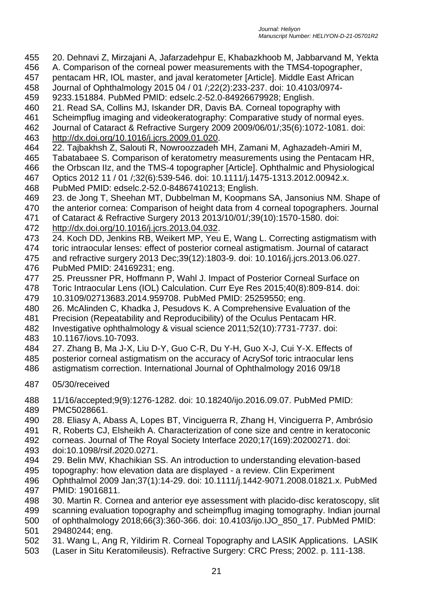- 20. Dehnavi Z, Mirzajani A, Jafarzadehpur E, Khabazkhoob M, Jabbarvand M, Yekta
- A. Comparison of the corneal power measurements with the TMS4-topographer,
- pentacam HR, IOL master, and javal keratometer [Article]. Middle East African
- Journal of Ophthalmology 2015 04 / 01 /;22(2):233-237. doi: 10.4103/0974-
- 9233.151884. PubMed PMID: edselc.2-52.0-84926679928; English.
- 21. Read SA, Collins MJ, Iskander DR, Davis BA. Corneal topography with
- Scheimpflug imaging and videokeratography: Comparative study of normal eyes.
- Journal of Cataract & Refractive Surgery 2009 2009/06/01/;35(6):1072-1081. doi: [http://dx.doi.org/10.1016/j.jcrs.2009.01.020.](http://dx.doi.org/10.1016/j.jcrs.2009.01.020)
- 22. Tajbakhsh Z, Salouti R, Nowroozzadeh MH, Zamani M, Aghazadeh-Amiri M,
- Tabatabaee S. Comparison of keratometry measurements using the Pentacam HR,
- the Orbscan IIz, and the TMS-4 topographer [Article]. Ophthalmic and Physiological
- Optics 2012 11 / 01 /;32(6):539-546. doi: 10.1111/j.1475-1313.2012.00942.x.
- PubMed PMID: edselc.2-52.0-84867410213; English.
- 23. de Jong T, Sheehan MT, Dubbelman M, Koopmans SA, Jansonius NM. Shape of
- the anterior cornea: Comparison of height data from 4 corneal topographers. Journal
- of Cataract & Refractive Surgery 2013 2013/10/01/;39(10):1570-1580. doi:
- [http://dx.doi.org/10.1016/j.jcrs.2013.04.032.](http://dx.doi.org/10.1016/j.jcrs.2013.04.032)
- 24. Koch DD, Jenkins RB, Weikert MP, Yeu E, Wang L. Correcting astigmatism with
- toric intraocular lenses: effect of posterior corneal astigmatism. Journal of cataract and refractive surgery 2013 Dec;39(12):1803-9. doi: 10.1016/j.jcrs.2013.06.027.
- PubMed PMID: 24169231; eng.
- 25. Preussner PR, Hoffmann P, Wahl J. Impact of Posterior Corneal Surface on
- Toric Intraocular Lens (IOL) Calculation. Curr Eye Res 2015;40(8):809-814. doi: 10.3109/02713683.2014.959708. PubMed PMID: 25259550; eng.
- 
- 26. McAlinden C, Khadka J, Pesudovs K. A Comprehensive Evaluation of the
- Precision (Repeatability and Reproducibility) of the Oculus Pentacam HR.
- Investigative ophthalmology & visual science 2011;52(10):7731-7737. doi:
- 10.1167/iovs.10-7093.
- 27. Zhang B, Ma J-X, Liu D-Y, Guo C-R, Du Y-H, Guo X-J, Cui Y-X. Effects of
- posterior corneal astigmatism on the accuracy of AcrySof toric intraocular lens
- astigmatism correction. International Journal of Ophthalmology 2016 09/18
- 05/30/received
- 11/16/accepted;9(9):1276-1282. doi: 10.18240/ijo.2016.09.07. PubMed PMID:
- PMC5028661.
- 28. Eliasy A, Abass A, Lopes BT, Vinciguerra R, Zhang H, Vinciguerra P, Ambrósio
- R, Roberts CJ, Elsheikh A. Characterization of cone size and centre in keratoconic
- corneas. Journal of The Royal Society Interface 2020;17(169):20200271. doi:
- doi:10.1098/rsif.2020.0271.
- 29. Belin MW, Khachikian SS. An introduction to understanding elevation-based
- topography: how elevation data are displayed a review. Clin Experiment
- Ophthalmol 2009 Jan;37(1):14-29. doi: 10.1111/j.1442-9071.2008.01821.x. PubMed PMID: 19016811.
- 30. Martin R. Cornea and anterior eye assessment with placido-disc keratoscopy, slit
- scanning evaluation topography and scheimpflug imaging tomography. Indian journal
- of ophthalmology 2018;66(3):360-366. doi: 10.4103/ijo.IJO\_850\_17. PubMed PMID: 29480244; eng.
- 31. Wang L, Ang R, Yildirim R. Corneal Topography and LASIK Applications. LASIK
- (Laser in Situ Keratomileusis). Refractive Surgery: CRC Press; 2002. p. 111-138.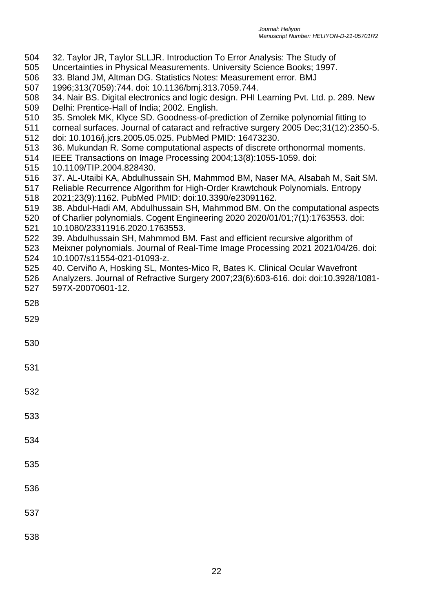- 32. Taylor JR, Taylor SLLJR. Introduction To Error Analysis: The Study of
- Uncertainties in Physical Measurements. University Science Books; 1997.
- 33. Bland JM, Altman DG. Statistics Notes: Measurement error. BMJ
- 1996;313(7059):744. doi: 10.1136/bmj.313.7059.744.
- 34. Nair BS. Digital electronics and logic design. PHI Learning Pvt. Ltd. p. 289. New Delhi: Prentice-Hall of India; 2002. English.
- 35. Smolek MK, Klyce SD. Goodness-of-prediction of Zernike polynomial fitting to
- corneal surfaces. Journal of cataract and refractive surgery 2005 Dec;31(12):2350-5.
- doi: 10.1016/j.jcrs.2005.05.025. PubMed PMID: 16473230.
- 36. Mukundan R. Some computational aspects of discrete orthonormal moments.
- IEEE Transactions on Image Processing 2004;13(8):1055-1059. doi:
- 10.1109/TIP.2004.828430.
- 37. AL-Utaibi KA, Abdulhussain SH, Mahmmod BM, Naser MA, Alsabah M, Sait SM.
- Reliable Recurrence Algorithm for High-Order Krawtchouk Polynomials. Entropy
- 2021;23(9):1162. PubMed PMID: doi:10.3390/e23091162.
- 38. Abdul-Hadi AM, Abdulhussain SH, Mahmmod BM. On the computational aspects
- of Charlier polynomials. Cogent Engineering 2020 2020/01/01;7(1):1763553. doi: 10.1080/23311916.2020.1763553.
- 39. Abdulhussain SH, Mahmmod BM. Fast and efficient recursive algorithm of
- Meixner polynomials. Journal of Real-Time Image Processing 2021 2021/04/26. doi:
- 10.1007/s11554-021-01093-z.
- 40. Cerviño A, Hosking SL, Montes-Mico R, Bates K. Clinical Ocular Wavefront
- Analyzers. Journal of Refractive Surgery 2007;23(6):603-616. doi: doi:10.3928/1081- 597X-20070601-12.
- 
- 
- 
- 
- 
- 
- 
- 
- 
- 
- 
- 
- 
-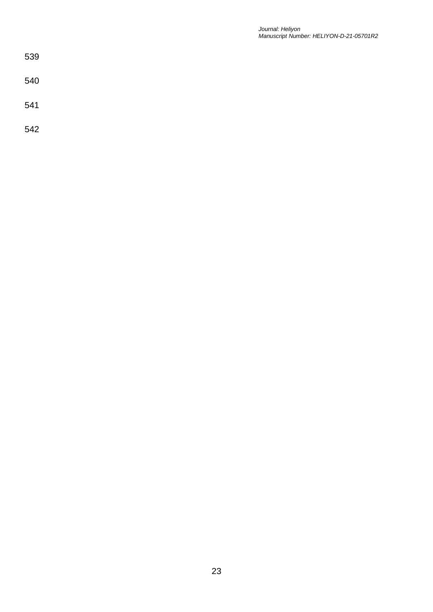*Journal: Heliyon Manuscript Number: HELIYON-D-21-05701R2*

- 
- 
- 
-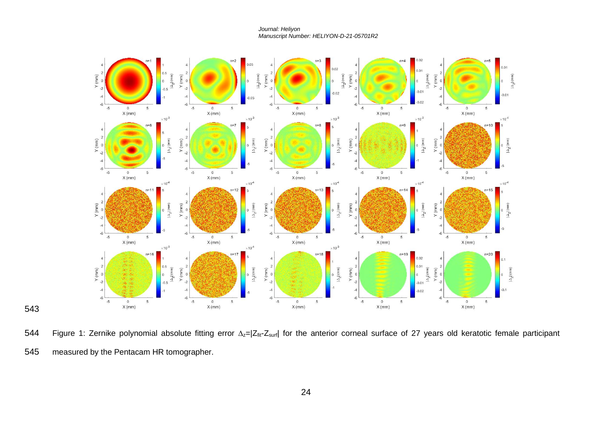*Journal: Heliyon Manuscript Number: HELIYON-D-21-05701R2*



<span id="page-23-0"></span>544 Figure 1: Zernike polynomial absolute fitting error  $\Delta z = |Z_{fit} - Z_{surf}|$  for the anterior corneal surface of 27 years old keratotic female participant 545 measured by the Pentacam HR tomographer.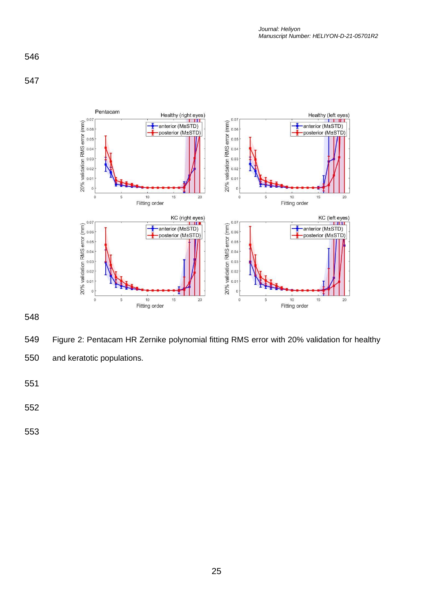

<span id="page-24-0"></span> Figure 2: Pentacam HR Zernike polynomial fitting RMS error with 20% validation for healthy and keratotic populations.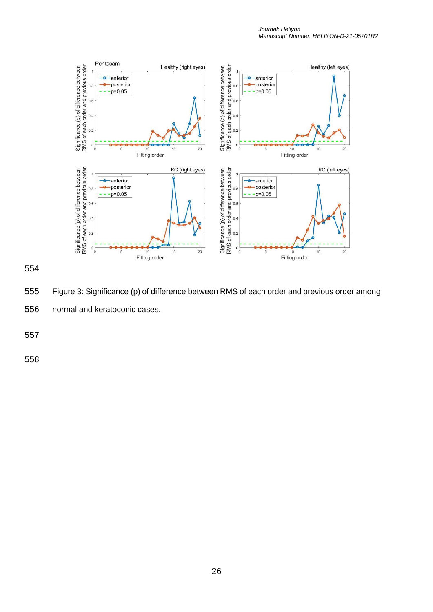

<span id="page-25-0"></span>Figure 3: Significance (p) of difference between RMS of each order and previous order among

normal and keratoconic cases.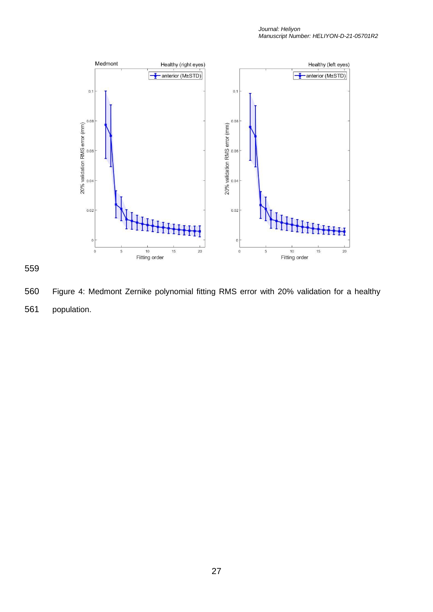



<span id="page-26-0"></span> Figure 4: Medmont Zernike polynomial fitting RMS error with 20% validation for a healthy population.